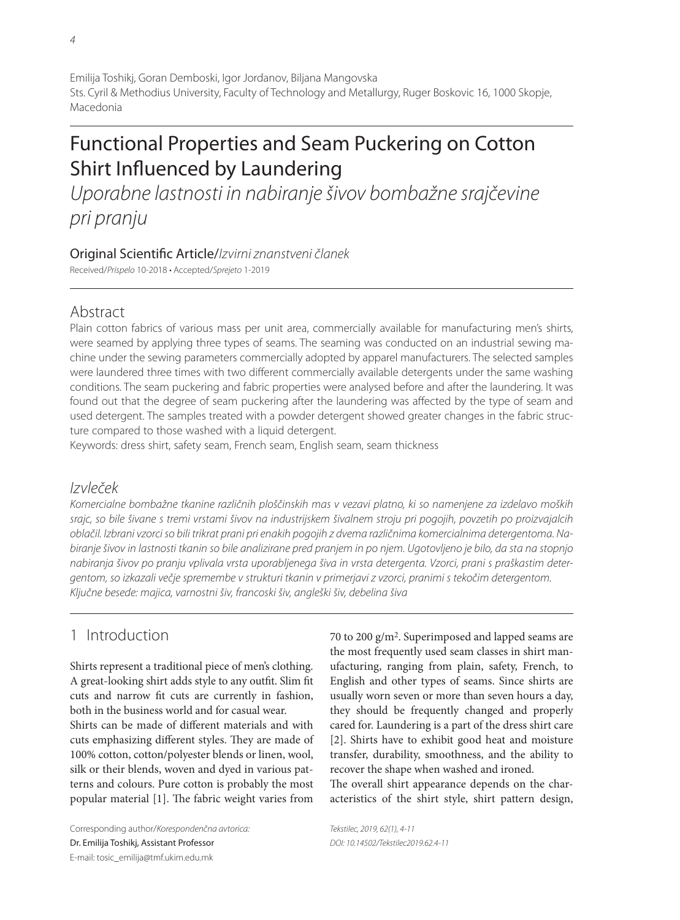Emilija Toshikj, Goran Demboski, Igor Jordanov, Biljana Mangovska Sts. Cyril & Methodius University, Faculty of Technology and Metallurgy, Ruger Boskovic 16, 1000 Skopje, Macedonia

# Functional Properties and Seam Puckering on Cotton Shirt Influenced by Laundering

Uporabne lastnosti in nabiranje šivov bombažne srajčevine pri pranju

### Original Scientific Article/Izvirni znanstveni članek

Received/Prispelo 10-2018 • Accepted/Sprejeto 1-2019

# Abstract

Plain cotton fabrics of various mass per unit area, commercially available for manufacturing men's shirts, were seamed by applying three types of seams. The seaming was conducted on an industrial sewing machine under the sewing parameters commercially adopted by apparel manufacturers. The selected samples were laundered three times with two different commercially available detergents under the same washing conditions. The seam puckering and fabric properties were analysed before and after the laundering. It was found out that the degree of seam puckering after the laundering was affected by the type of seam and used detergent. The samples treated with a powder detergent showed greater changes in the fabric structure compared to those washed with a liquid detergent.

Keywords: dress shirt, safety seam, French seam, English seam, seam thickness

# Izvleček

Komercialne bombažne tkanine različnih ploščinskih mas v vezavi platno, ki so namenjene za izdelavo moških srajc, so bile šivane s tremi vrstami šivov na industrijskem šivalnem stroju pri pogojih, povzetih po proizvajalcih oblačil. Izbrani vzorci so bili trikrat prani pri enakih pogojih z dvema različnima komercialnima detergentoma. Nabiranje šivov in lastnosti tkanin so bile analizirane pred pranjem in po njem. Ugotovljeno je bilo, da sta na stopnjo nabiranja šivov po pranju vplivala vrsta uporabljenega šiva in vrsta detergenta. Vzorci, prani s praškastim detergentom, so izkazali večje spremembe v strukturi tkanin v primerjavi z vzorci, pranimi s tekočim detergentom. Ključne besede: majica, varnostni šiv, francoski šiv, angleški šiv, debelina šiva

# 1 Introduction

Shirts represent a traditional piece of men's clothing. A great-looking shirt adds style to any outfit. Slim fit cuts and narrow fit cuts are currently in fashion, both in the business world and for casual wear.

Shirts can be made of different materials and with cuts emphasizing different styles. They are made of 100% cotton, cotton/polyester blends or linen, wool, silk or their blends, woven and dyed in various patterns and colours. Pure cotton is probably the most popular material [1]. The fabric weight varies from

Corresponding author/Korespondenčna avtorica: Dr. Emilija Toshikj, Assistant Professor E-mail: tosic\_emilija@tmf.ukim.edu.mk

70 to 200 g/m2. Superimposed and lapped seams are the most frequently used seam classes in shirt manufacturing, ranging from plain, safety, French, to English and other types of seams. Since shirts are usually worn seven or more than seven hours a day, they should be frequently changed and properly cared for. Laundering is a part of the dress shirt care [2]. Shirts have to exhibit good heat and moisture transfer, durability, smoothness, and the ability to recover the shape when washed and ironed.

The overall shirt appearance depends on the characteristics of the shirt style, shirt pattern design,

Tekstilec, 2019, 62(1), 4-11 DOI: 10.14502/Tekstilec2019.62.4-11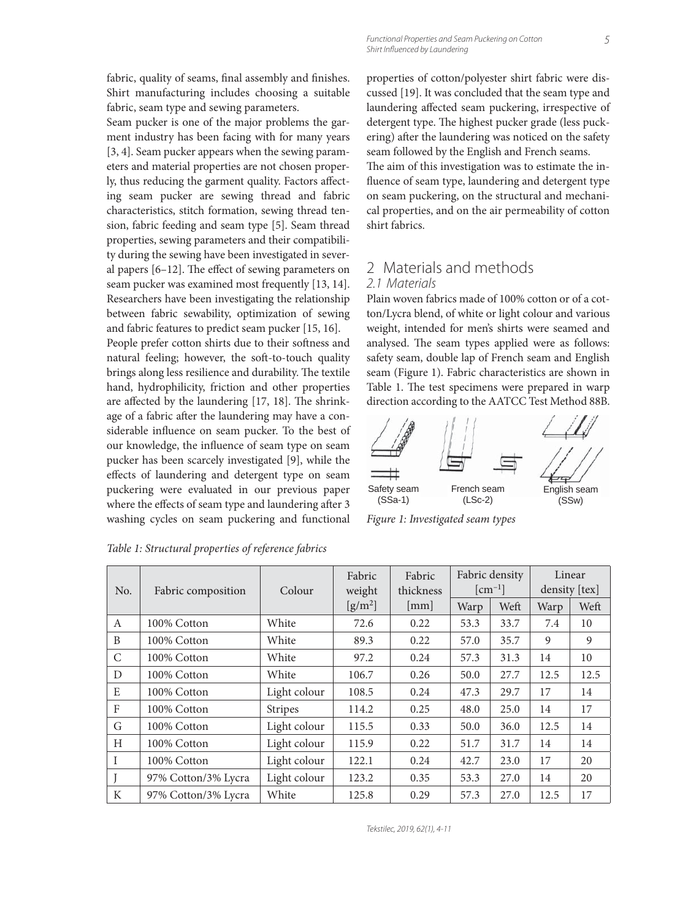fabric, quality of seams, final assembly and finishes. Shirt manufacturing includes choosing a suitable fabric, seam type and sewing parameters.

Seam pucker is one of the major problems the garment industry has been facing with for many years [3, 4]. Seam pucker appears when the sewing parameters and material properties are not chosen properly, thus reducing the garment quality. Factors affecting seam pucker are sewing thread and fabric characteristics, stitch formation, sewing thread tension, fabric feeding and seam type [5]. Seam thread properties, sewing parameters and their compatibility during the sewing have been investigated in several papers  $[6–12]$ . The effect of sewing parameters on seam pucker was examined most frequently [13, 14]. Researchers have been investigating the relationship between fabric sewability, optimization of sewing and fabric features to predict seam pucker [15, 16].

People prefer cotton shirts due to their softness and natural feeling; however, the soft-to-touch quality brings along less resilience and durability. The textile hand, hydrophilicity, friction and other properties are affected by the laundering  $[17, 18]$ . The shrinkage of a fabric after the laundering may have a considerable influence on seam pucker. To the best of our knowledge, the influence of seam type on seam pucker has been scarcely investigated [9], while the effects of laundering and detergent type on seam puckering were evaluated in our previous paper where the effects of seam type and laundering after 3 washing cycles on seam puckering and functional

properties of cotton/polyester shirt fabric were discussed [19]. It was concluded that the seam type and laundering affected seam puckering, irrespective of detergent type. The highest pucker grade (less puckering) after the laundering was noticed on the safety seam followed by the English and French seams. The aim of this investigation was to estimate the influence of seam type, laundering and detergent type on seam puckering, on the structural and mechanical properties, and on the air permeability of cotton shirt fabrics.

## 2 Materials and methods 2.1 Materials

Plain woven fabrics made of 100% cotton or of a cotton/Lycra blend, of white or light colour and various weight, intended for men's shirts were seamed and analysed. The seam types applied were as follows: safety seam, double lap of French seam and English seam (Figure 1). Fabric characteristics are shown in Table 1. The test specimens were prepared in warp direction according to the AATCC Test Method 88B.



*Figure 1: Investigated seam types*

| No.          | Fabric composition  | Colour         | Fabric<br>weight             | Fabric<br>thickness | Fabric density | $\lceil$ cm <sup>-1</sup> $\rceil$ | Linear<br>density [tex] |      |
|--------------|---------------------|----------------|------------------------------|---------------------|----------------|------------------------------------|-------------------------|------|
|              |                     |                | $\left[\frac{g}{m^2}\right]$ | [mm]                | Warp           | Weft                               | Warp                    | Weft |
| A            | 100% Cotton         | White          | 72.6                         | 0.22                | 53.3           | 33.7                               | 7.4                     | 10   |
| B            | 100% Cotton         | White          | 89.3                         | 0.22                | 57.0           | 35.7                               | 9                       | 9    |
| $\mathsf{C}$ | 100% Cotton         | White          | 97.2                         | 0.24                | 57.3           | 31.3                               | 14                      | 10   |
| D            | 100% Cotton         | White          | 106.7                        | 0.26                | 50.0           | 27.7                               | 12.5                    | 12.5 |
| E            | 100% Cotton         | Light colour   | 108.5                        | 0.24                | 47.3           | 29.7                               | 17                      | 14   |
| $\mathbf{F}$ | 100% Cotton         | <b>Stripes</b> | 114.2                        | 0.25                | 48.0           | 25.0                               | 14                      | 17   |
| G            | 100% Cotton         | Light colour   | 115.5                        | 0.33                | 50.0           | 36.0                               | 12.5                    | 14   |
| H            | 100% Cotton         | Light colour   | 115.9                        | 0.22                | 51.7           | 31.7                               | 14                      | 14   |
| I            | 100% Cotton         | Light colour   | 122.1                        | 0.24                | 42.7           | 23.0                               | 17                      | 20   |
|              | 97% Cotton/3% Lycra | Light colour   | 123.2                        | 0.35                | 53.3           | 27.0                               | 14                      | 20   |
| K            | 97% Cotton/3% Lycra | White          | 125.8                        | 0.29                | 57.3           | 27.0                               | 12.5                    | 17   |

*Table 1: Structural properties of reference fabrics*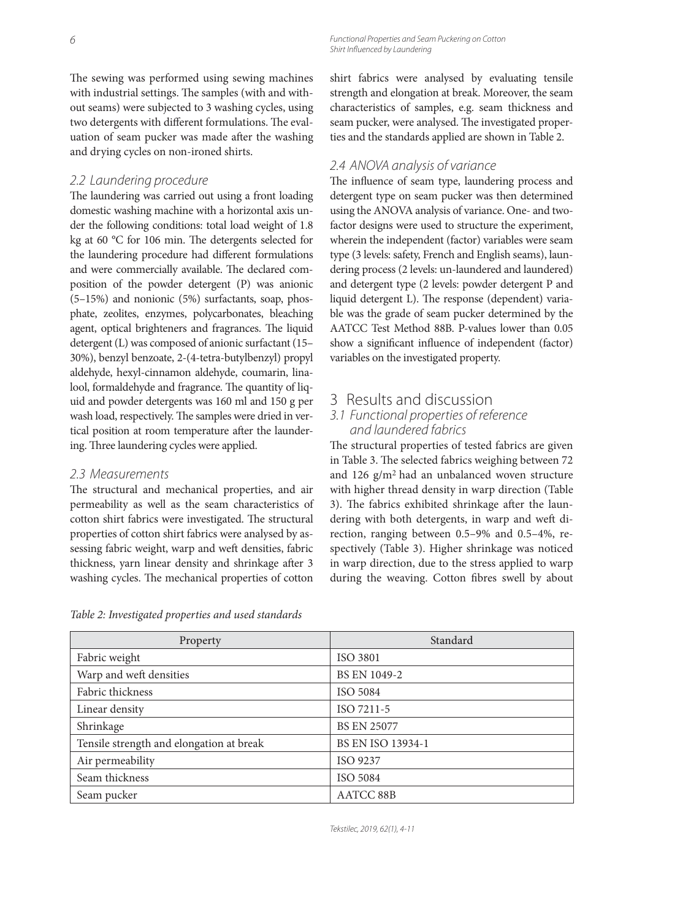The sewing was performed using sewing machines with industrial settings. The samples (with and without seams) were subjected to 3 washing cycles, using two detergents with different formulations. The evaluation of seam pucker was made after the washing and drying cycles on non-ironed shirts.

#### 2.2 Laundering procedure

The laundering was carried out using a front loading domestic washing machine with a horizontal axis under the following conditions: total load weight of 1.8 kg at 60 °C for 106 min. The detergents selected for the laundering procedure had different formulations and were commercially available. The declared composition of the powder detergent (P) was anionic (5–15%) and nonionic (5%) surfactants, soap, phosphate, zeolites, enzymes, polycarbonates, bleaching agent, optical brighteners and fragrances. The liquid detergent (L) was composed of anionic surfactant (15– 30%), benzyl benzoate, 2-(4-tetra-butylbenzyl) propyl aldehyde, hexyl-cinnamon aldehyde, coumarin, linalool, formaldehyde and fragrance. The quantity of liquid and powder detergents was 160 ml and 150 g per wash load, respectively. The samples were dried in vertical position at room temperature after the laundering. Three laundering cycles were applied.

#### 2.3 Measurements

The structural and mechanical properties, and air permeability as well as the seam characteristics of cotton shirt fabrics were investigated. The structural properties of cotton shirt fabrics were analysed by assessing fabric weight, warp and weft densities, fabric thickness, yarn linear density and shrinkage after 3 washing cycles. The mechanical properties of cotton

Functional Properties and Seam Puckering on Cotton Shirt Influenced by Laundering

shirt fabrics were analysed by evaluating tensile strength and elongation at break. Moreover, the seam characteristics of samples, e.g. seam thickness and seam pucker, were analysed. The investigated properties and the standards applied are shown in Table 2.

## 2.4 ANOVA analysis of variance

The influence of seam type, laundering process and detergent type on seam pucker was then determined using the ANOVA analysis of variance. One- and twofactor designs were used to structure the experiment, wherein the independent (factor) variables were seam type (3 levels: safety, French and English seams), laundering process (2 levels: un-laundered and laundered) and detergent type (2 levels: powder detergent P and liquid detergent L). The response (dependent) variable was the grade of seam pucker determined by the AATCC Test Method 88B. P-values lower than 0.05 show a significant influence of independent (factor) variables on the investigated property.

#### 3 Results and discussion

3.1 Functional properties of reference and laundered fabrics

The structural properties of tested fabrics are given in Table 3. The selected fabrics weighing between 72 and 126 g/m2 had an unbalanced woven structure with higher thread density in warp direction (Table 3). The fabrics exhibited shrinkage after the laundering with both detergents, in warp and weft direction, ranging between 0.5–9% and 0.5–4%, respectively (Table 3). Higher shrinkage was noticed in warp direction, due to the stress applied to warp during the weaving. Cotton fibres swell by about

| Property                                 | Standard           |
|------------------------------------------|--------------------|
| Fabric weight                            | ISO 3801           |
| Warp and weft densities                  | BS EN 1049-2       |
| Fabric thickness                         | ISO 5084           |
| Linear density                           | ISO 7211-5         |
| Shrinkage                                | <b>BS EN 25077</b> |
| Tensile strength and elongation at break | BS EN ISO 13934-1  |
| Air permeability                         | ISO 9237           |
| Seam thickness                           | ISO 5084           |
| Seam pucker                              | AATCC 88B          |

*Table 2: Investigated properties and used standards*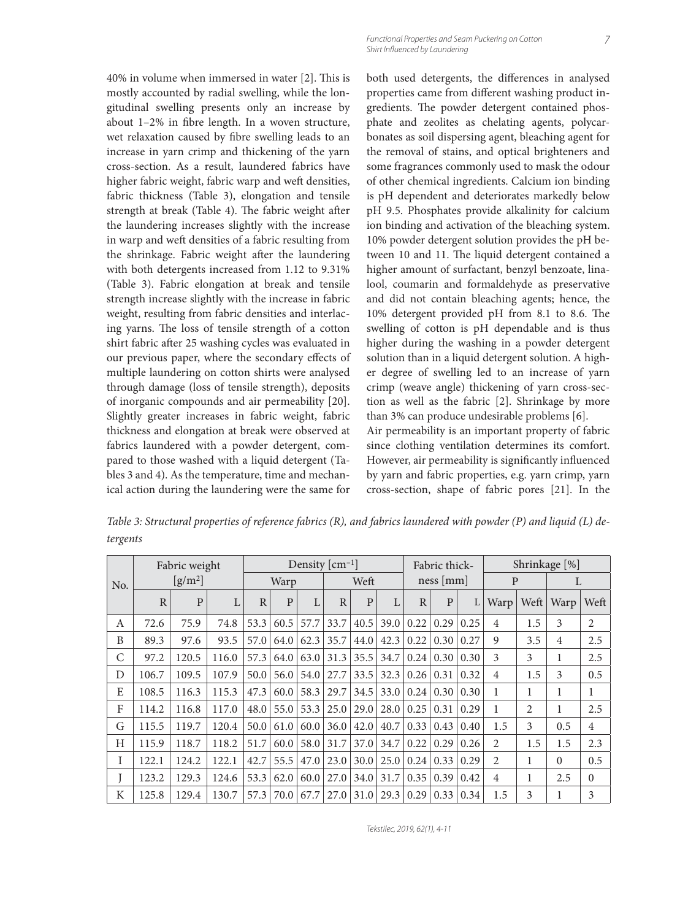Functional Properties and Seam Puckering on Cotton Shirt Influenced by Laundering

7

40% in volume when immersed in water [2]. This is mostly accounted by radial swelling, while the longitudinal swelling presents only an increase by about  $1-2\%$  in fibre length. In a woven structure, wet relaxation caused by fibre swelling leads to an increase in yarn crimp and thickening of the yarn cross-section. As a result, laundered fabrics have higher fabric weight, fabric warp and weft densities, fabric thickness (Table 3), elongation and tensile strength at break (Table 4). The fabric weight after the laundering increases slightly with the increase in warp and weft densities of a fabric resulting from the shrinkage. Fabric weight after the laundering with both detergents increased from 1.12 to 9.31% (Table 3). Fabric elongation at break and tensile strength increase slightly with the increase in fabric weight, resulting from fabric densities and interlacing yarns. The loss of tensile strength of a cotton shirt fabric after 25 washing cycles was evaluated in our previous paper, where the secondary effects of multiple laundering on cotton shirts were analysed through damage (loss of tensile strength), deposits of inorganic compounds and air permeability [20]. Slightly greater increases in fabric weight, fabric thickness and elongation at break were observed at fabrics laundered with a powder detergent, compared to those washed with a liquid detergent (Tables 3 and 4). As the temperature, time and mechanical action during the laundering were the same for

both used detergents, the differences in analysed properties came from different washing product ingredients. The powder detergent contained phosphate and zeolites as chelating agents, polycarbonates as soil dispersing agent, bleaching agent for the removal of stains, and optical brighteners and some fragrances commonly used to mask the odour of other chemical ingredients. Calcium ion binding is pH dependent and deteriorates markedly below pH 9.5. Phosphates provide alkalinity for calcium ion binding and activation of the bleaching system. 10% powder detergent solution provides the pH between 10 and 11. The liquid detergent contained a higher amount of surfactant, benzyl benzoate, linalool, coumarin and formaldehyde as preservative and did not contain bleaching agents; hence, the  $10\%$  detergent provided pH from 8.1 to 8.6. The swelling of cotton is pH dependable and is thus higher during the washing in a powder detergent solution than in a liquid detergent solution. A higher degree of swelling led to an increase of yarn crimp (weave angle) thickening of yarn cross-section as well as the fabric [2]. Shrinkage by more than 3% can produce undesirable problems [6].

Air permeability is an important property of fabric since clothing ventilation determines its comfort. However, air permeability is significantly influenced by yarn and fabric properties, e.g. yarn crimp, yarn cross-section, shape of fabric pores [21]. In the

|     |              | Fabric weight                |              | Density $\lceil$ cm <sup>-1</sup> |              |      |              |              | Fabric thick- |              |              | Shrinkage [%] |                |      |                |                |
|-----|--------------|------------------------------|--------------|-----------------------------------|--------------|------|--------------|--------------|---------------|--------------|--------------|---------------|----------------|------|----------------|----------------|
| No. |              | $\left[\frac{g}{m^2}\right]$ |              |                                   | Warp         |      |              | Weft         |               |              | ness [mm]    |               | P              |      | L              |                |
|     | $\mathbb{R}$ | $\mathbf{P}$                 | $\mathbf{L}$ | $\mathbf R$                       | $\mathbf{P}$ | L    | $\mathbb{R}$ | $\mathbf{p}$ | L             | $\mathbb{R}$ | $\mathbf{P}$ | L             | Warp           | Weft | Warp           | Weft           |
| А   | 72.6         | 75.9                         | 74.8         | 53.3                              | 60.5         | 57.7 | 33.7         | 40.5         | 39.0          | 0.22         | 0.29         | 0.25          | $\overline{4}$ | 1.5  | 3              | 2              |
| B   | 89.3         | 97.6                         | 93.5         | 57.0                              | 64.0         | 62.3 | 35.7         | 44.0         | 42.3          | 0.22         | 0.30         | 0.27          | 9              | 3.5  | $\overline{4}$ | 2.5            |
| C   | 97.2         | 120.5                        | 116.0        | 57.3                              | 64.0         | 63.0 | 31.3         | 35.5         | 34.7          | 0.24         | 0.30         | 0.30          | 3              | 3    | 1              | 2.5            |
| D   | 106.7        | 109.5                        | 107.9        | 50.0                              | 56.0         | 54.0 | 27.7         | 33.5         | 32.3          | 0.26         | 0.31         | 0.32          | $\overline{4}$ | 1.5  | 3              | 0.5            |
| E   | 108.5        | 116.3                        | 115.3        | 47.3                              | 60.0         | 58.3 | 29.7         | 34.5         | 33.0          | 0.24         | 0.30         | 0.30          | 1              | 1    | 1              | 1              |
| F   | 114.2        | 116.8                        | 117.0        | 48.0                              | 55.0         | 53.3 | 25.0         | 29.0         | 28.0          | 0.25         | 0.31         | 0.29          | 1              | 2    | 1              | 2.5            |
| G   | 115.5        | 119.7                        | 120.4        | 50.0                              | 61.0         | 60.0 | 36.0         | 42.0         | 40.7          | 0.33         | 0.43         | 0.40          | 1.5            | 3    | 0.5            | $\overline{4}$ |
| H   | 115.9        | 118.7                        | 118.2        | 51.7                              | 60.0         | 58.0 | 31.7         | 37.0         | 34.7          | 0.22         | 0.29         | 0.26          | 2              | 1.5  | 1.5            | 2.3            |
| I   | 122.1        | 124.2                        | 122.1        | 42.7                              | 55.5         | 47.0 | 23.0         | 30.0         | 25.0          | 0.24         | 0.33         | 0.29          | $\mathfrak{D}$ | 1    | $\Omega$       | 0.5            |
|     | 123.2        | 129.3                        | 124.6        | 53.3                              | 62.0         | 60.0 | 27.0         | 34.0         | 31.7          | 0.35         | 0.39         | 0.42          | $\overline{4}$ | 1    | 2.5            | $\mathbf{0}$   |
| K   | 125.8        | 129.4                        | 130.7        | 57.3                              | 70.0         | 67.7 | 27.0         | 31.0         | 29.3          | 0.29         | 0.33         | 0.34          | 1.5            | 3    |                | 3              |

*Table 3: Structural properties of reference fabrics (R), and fabrics laundered with powder (P) and liquid (L) detergents*

Tekstilec, 2019, 62(1), 4-11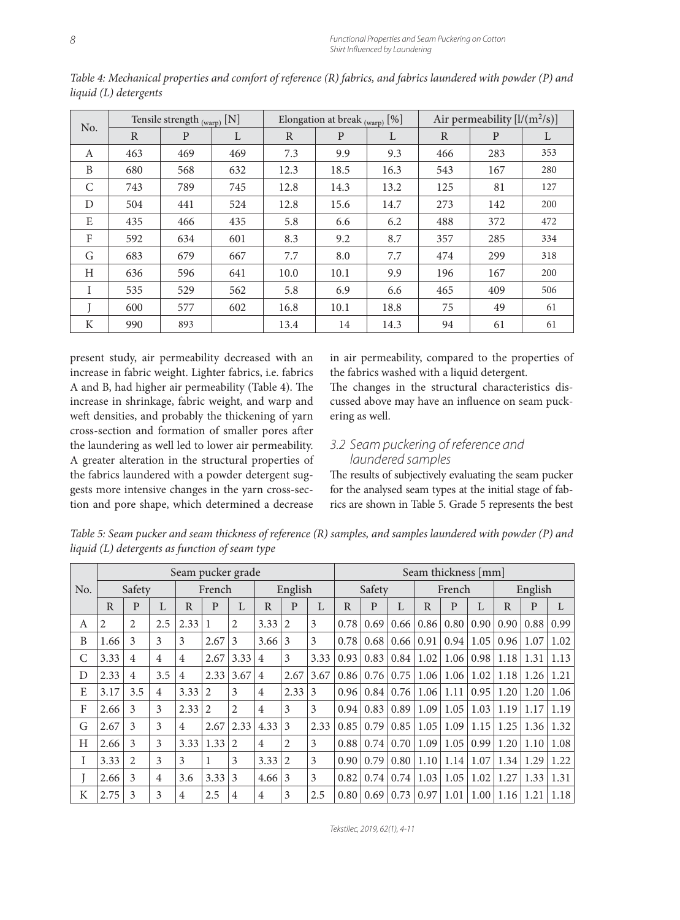| No. |     | Tensile strength $_{(warp)}$ [N] |              |             | Elongation at break $_{(warp)}$ [%] |      | Air permeability $[l/(m^2/s)]$ |              |     |  |
|-----|-----|----------------------------------|--------------|-------------|-------------------------------------|------|--------------------------------|--------------|-----|--|
|     | R   | $\mathbf{P}$                     | $\mathbf{L}$ | $\mathbf R$ | P                                   | L    | $\mathbb{R}$                   | $\mathbf{p}$ | L   |  |
| A   | 463 | 469                              | 469          | 7.3         | 9.9                                 | 9.3  | 466                            | 283          | 353 |  |
| B   | 680 | 568                              | 632          | 12.3        | 18.5                                | 16.3 | 543                            | 167          | 280 |  |
| C   | 743 | 789                              | 745          | 12.8        | 14.3                                | 13.2 | 125                            | 81           | 127 |  |
| D   | 504 | 441                              | 524          | 12.8        | 15.6                                | 14.7 | 273                            | 142          | 200 |  |
| E   | 435 | 466                              | 435          | 5.8         | 6.6                                 | 6.2  | 488                            | 372          | 472 |  |
| F   | 592 | 634                              | 601          | 8.3         | 9.2                                 | 8.7  | 357                            | 285          | 334 |  |
| G   | 683 | 679                              | 667          | 7.7         | 8.0                                 | 7.7  | 474                            | 299          | 318 |  |
| Н   | 636 | 596                              | 641          | 10.0        | 10.1                                | 9.9  | 196                            | 167          | 200 |  |
| I   | 535 | 529                              | 562          | 5.8         | 6.9                                 | 6.6  | 465                            | 409          | 506 |  |
|     | 600 | 577                              | 602          | 16.8        | 10.1                                | 18.8 | 75                             | 49           | 61  |  |
| K   | 990 | 893                              |              | 13.4        | 14                                  | 14.3 | 94                             | 61           | 61  |  |

*Table 4: Mechanical properties and comfort of reference (R) fabrics, and fabrics laundered with powder (P) and liquid (L) detergents*

present study, air permeability decreased with an increase in fabric weight. Lighter fabrics, i.e. fabrics A and B, had higher air permeability (Table 4). The increase in shrinkage, fabric weight, and warp and weft densities, and probably the thickening of yarn cross-section and formation of smaller pores after the laundering as well led to lower air permeability. A greater alteration in the structural properties of the fabrics laundered with a powder detergent suggests more intensive changes in the yarn cross-section and pore shape, which determined a decrease

in air permeability, compared to the properties of the fabrics washed with a liquid detergent.

The changes in the structural characteristics discussed above may have an influence on seam puckering as well.

#### 3.2 Seam puckering of reference and laundered samples

The results of subjectively evaluating the seam pucker for the analysed seam types at the initial stage of fabrics are shown in Table 5. Grade 5 represents the best

*Table 5: Seam pucker and seam thickness of reference (R) samples, and samples laundered with powder (P) and liquid (L) detergents as function of seam type*

|     | Seam pucker grade |                |     |                |                |                |                |                | Seam thickness [mm] |                   |        |      |      |        |                   |      |         |      |
|-----|-------------------|----------------|-----|----------------|----------------|----------------|----------------|----------------|---------------------|-------------------|--------|------|------|--------|-------------------|------|---------|------|
| No. |                   | Safety         |     |                | French         |                |                | English        |                     |                   | Safety |      |      | French |                   |      | English |      |
|     | R                 | P              |     | R              | P              | L              | R              | P              |                     | R                 | P      |      | R    | P      |                   | R    | P       | L    |
| A   | $\mathfrak{D}$    | $\mathfrak{D}$ | 2.5 | 2.33           |                | $\overline{2}$ | 3.33           | $\mathfrak{D}$ | 3                   | 0.78              | 0.69   | 0.66 | 0.86 | 0.80   | 0.90 <sup>°</sup> | 0.90 | 0.88    | 0.99 |
| B   | 1.66              | 3              | 3   | 3              | 2.67           | 3              | 3.66           | 3              | 3                   | 0.78              | 0.68   | 0.66 | 0.91 | 0.94   | 1.05              | 0.96 | 1.07    | 1.02 |
| С   | 3.33              | $\overline{4}$ | 4   | 4              | 2.67           | 3.33           | $\overline{4}$ | 3              | 3.33                | 0.93              | 0.83   | 0.84 | 1.02 | 1.06   | 0.98              | 1.18 | 1.31    | 1.13 |
| D   | 2.33              | 4              | 3.5 | $\overline{4}$ | 2.33           | 3.67           | $\overline{4}$ | 2.67           | 3.67                | 0.86              | 0.76   | 0.75 | 1.06 | 1.06   | 1.02              | 1.18 | 1.26    | 1.21 |
| E   | 3.17              | 3.5            | 4   | 3.33           | $\mathcal{L}$  | 3              | $\overline{4}$ | 2.33           | 3                   | 0.96              | 0.84   | 0.76 | 1.06 | 1.11   | 0.95              | 1.20 | 1.20    | 1.06 |
| F   | 2.66              | 3              | 3   | 2.33           | $\overline{2}$ | $\overline{2}$ | $\overline{4}$ | 3              | 3                   | 0.94              | 0.83   | 0.89 | 1.09 | 1.05   | 1.03              | 1.19 | 1.17    | 1.19 |
| G   | 2.67              | 3              | 3   | $\overline{4}$ | 2.67           | 2.33           | 4.33           | 3              | 2.33                | 0.85              | 0.79   | 0.85 | 1.05 | 1.09   | 1.15              | 1.25 | 1.36    | 1.32 |
| Н   | 2.66              | 3              | 3   | 3.33           | 1.33           | 2              | $\overline{4}$ | 2              | 3                   | 0.88              | 0.74   | 0.70 | 1.09 | 1.05   | 0.99              | 1.20 | 1.10    | 1.08 |
|     | 3.33              | $\mathfrak{D}$ | 3   | 3              | 1              | 3              | 3.33           | $\overline{2}$ | 3                   | 0.90 <sub>1</sub> | 0.79   | 0.80 | 1.10 | 1.14   | 1.07              | 1.34 | 1.29    | 1.22 |
|     | 2.66              | 3              | 4   | 3.6            | 3.33           | 3              | 4.66           | 3              | 3                   | 0.82              | 0.74   | 0.74 | 1.03 | 1.05   | 1.02              | 1.27 | 1.33    | 1.31 |
| K   | 2.75              | 3              | 3   | $\overline{4}$ | 2.5            | 4              | 4              | 3              | 2.5                 | 0.80              | 0.69   | 0.73 | 0.97 | 1.01   | 1.00              | 1.16 | 1.21    | 1.18 |

Tekstilec, 2019, 62(1), 4-11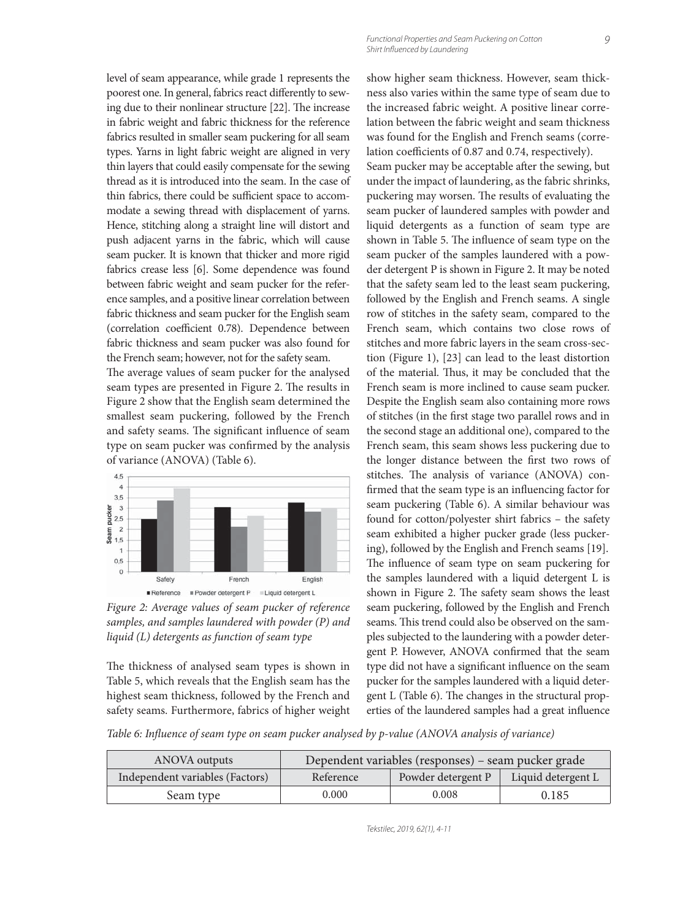level of seam appearance, while grade 1 represents the poorest one. In general, fabrics react differently to sewing due to their nonlinear structure [22]. The increase in fabric weight and fabric thickness for the reference fabrics resulted in smaller seam puckering for all seam types. Yarns in light fabric weight are aligned in very thin layers that could easily compensate for the sewing thread as it is introduced into the seam. In the case of thin fabrics, there could be sufficient space to accommodate a sewing thread with displacement of yarns. Hence, stitching along a straight line will distort and push adjacent yarns in the fabric, which will cause seam pucker. It is known that thicker and more rigid fabrics crease less [6]. Some dependence was found between fabric weight and seam pucker for the reference samples, and a positive linear correlation between fabric thickness and seam pucker for the English seam (correlation coefficient 0.78). Dependence between fabric thickness and seam pucker was also found for the French seam; however, not for the safety seam.

The average values of seam pucker for the analysed seam types are presented in Figure 2. The results in Figure 2 show that the English seam determined the smallest seam puckering, followed by the French and safety seams. The significant influence of seam type on seam pucker was confirmed by the analysis of variance (ANOVA) (Table 6).



*Figure 2: Average values of seam pucker of reference samples, and samples laundered with powder (P) and liquid (L) detergents as function of seam type*

The thickness of analysed seam types is shown in Table 5, which reveals that the English seam has the highest seam thickness, followed by the French and safety seams. Furthermore, fabrics of higher weight show higher seam thickness. However, seam thickness also varies within the same type of seam due to the increased fabric weight. A positive linear correlation between the fabric weight and seam thickness was found for the English and French seams (correlation coefficients of 0.87 and 0.74, respectively).

Seam pucker may be acceptable after the sewing, but under the impact of laundering, as the fabric shrinks, puckering may worsen. The results of evaluating the seam pucker of laundered samples with powder and liquid detergents as a function of seam type are shown in Table 5. The influence of seam type on the seam pucker of the samples laundered with a powder detergent P is shown in Figure 2. It may be noted that the safety seam led to the least seam puckering, followed by the English and French seams. A single row of stitches in the safety seam, compared to the French seam, which contains two close rows of stitches and more fabric layers in the seam cross-section (Figure 1), [23] can lead to the least distortion of the material. Thus, it may be concluded that the French seam is more inclined to cause seam pucker. Despite the English seam also containing more rows of stitches (in the first stage two parallel rows and in the second stage an additional one), compared to the French seam, this seam shows less puckering due to the longer distance between the first two rows of stitches. The analysis of variance (ANOVA) confirmed that the seam type is an influencing factor for seam puckering (Table 6). A similar behaviour was found for cotton/polyester shirt fabrics – the safety seam exhibited a higher pucker grade (less puckering), followed by the English and French seams [19]. The influence of seam type on seam puckering for the samples laundered with a liquid detergent L is shown in Figure 2. The safety seam shows the least seam puckering, followed by the English and French seams. This trend could also be observed on the samples subjected to the laundering with a powder detergent P. However, ANOVA confirmed that the seam type did not have a significant influence on the seam pucker for the samples laundered with a liquid detergent L (Table 6). The changes in the structural properties of the laundered samples had a great influence

*Table 6: Influence of seam type on seam pucker analysed by p-value (ANOVA analysis of variance)* 

| ANOVA outputs                   | Dependent variables (responses) – seam pucker grade |                    |                    |  |  |
|---------------------------------|-----------------------------------------------------|--------------------|--------------------|--|--|
| Independent variables (Factors) | Reference                                           | Powder detergent P | Liquid detergent L |  |  |
| Seam type                       | 0.000                                               | 0.008              | 0.185              |  |  |

Tekstilec, 2019, 62(1), 4-11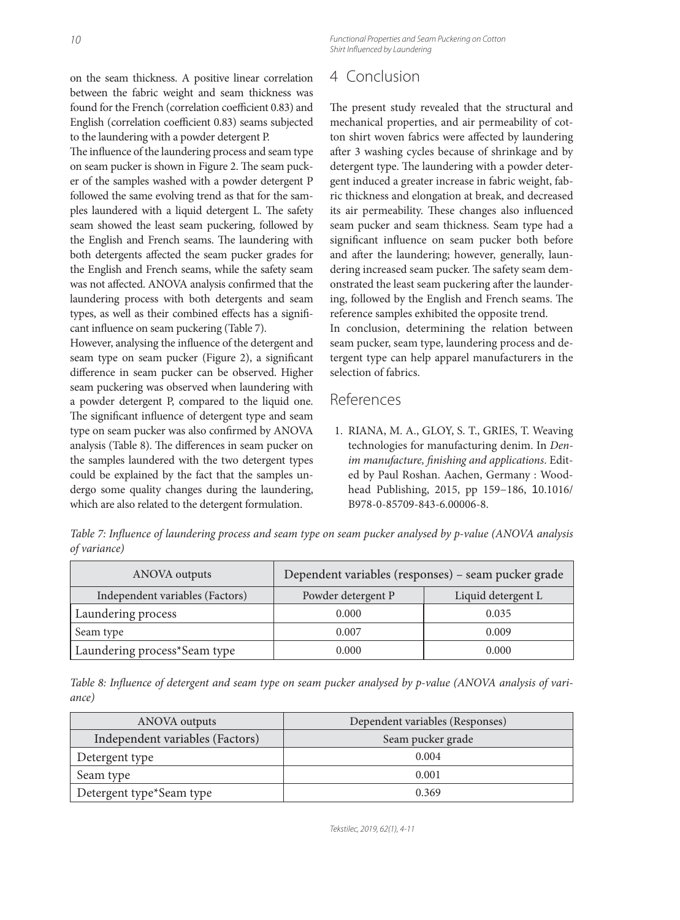on the seam thickness. A positive linear correlation between the fabric weight and seam thickness was found for the French (correlation coefficient 0.83) and English (correlation coefficient 0.83) seams subjected to the laundering with a powder detergent P.

The influence of the laundering process and seam type on seam pucker is shown in Figure 2. The seam pucker of the samples washed with a powder detergent P followed the same evolving trend as that for the samples laundered with a liquid detergent L. The safety seam showed the least seam puckering, followed by the English and French seams. The laundering with both detergents affected the seam pucker grades for the English and French seams, while the safety seam was not affected. ANOVA analysis confirmed that the laundering process with both detergents and seam types, as well as their combined effects has a significant influence on seam puckering (Table 7).

However, analysing the influence of the detergent and seam type on seam pucker (Figure 2), a significant difference in seam pucker can be observed. Higher seam puckering was observed when laundering with a powder detergent P, compared to the liquid one. The significant influence of detergent type and seam type on seam pucker was also confirmed by ANOVA analysis (Table 8). The differences in seam pucker on the samples laundered with the two detergent types could be explained by the fact that the samples undergo some quality changes during the laundering, which are also related to the detergent formulation.

# 4 Conclusion

The present study revealed that the structural and mechanical properties, and air permeability of cotton shirt woven fabrics were affected by laundering after 3 washing cycles because of shrinkage and by detergent type. The laundering with a powder detergent induced a greater increase in fabric weight, fabric thickness and elongation at break, and decreased its air permeability. These changes also influenced seam pucker and seam thickness. Seam type had a significant influence on seam pucker both before and after the laundering; however, generally, laundering increased seam pucker. The safety seam demonstrated the least seam puckering after the laundering, followed by the English and French seams. The reference samples exhibited the opposite trend.

In conclusion, determining the relation between seam pucker, seam type, laundering process and detergent type can help apparel manufacturers in the selection of fabrics.

## References

 1. RIANA, M. A., GLOY, S. T., GRIES, T. Weaving technologies for manufacturing denim. In *Denim manufacture, fi nishing and applications*. Edited by Paul Roshan. Aachen, Germany : Woodhead Publishing, 2015, pp 159−186, 10.1016/ B978-0-85709-843-6.00006-8.

*Table 7: Infl uence of laundering process and seam type on seam pucker analysed by p-value (ANOVA analysis of variance)*

| ANOVA outputs                   | Dependent variables (responses) – seam pucker grade |                    |  |  |  |  |
|---------------------------------|-----------------------------------------------------|--------------------|--|--|--|--|
| Independent variables (Factors) | Powder detergent P                                  | Liquid detergent L |  |  |  |  |
| Laundering process              | 0.000                                               | 0.035              |  |  |  |  |
| Seam type                       | 0.007                                               | 0.009              |  |  |  |  |
| Laundering process*Seam type    | 0.000                                               | 0.000              |  |  |  |  |

Table 8: Influence of detergent and seam type on seam pucker analysed by p-value (ANOVA analysis of vari*ance)*

| ANOVA outputs                   | Dependent variables (Responses) |  |  |  |  |
|---------------------------------|---------------------------------|--|--|--|--|
| Independent variables (Factors) | Seam pucker grade               |  |  |  |  |
| Detergent type                  | 0.004                           |  |  |  |  |
| Seam type                       | 0.001                           |  |  |  |  |
| Detergent type*Seam type        | 0.369                           |  |  |  |  |